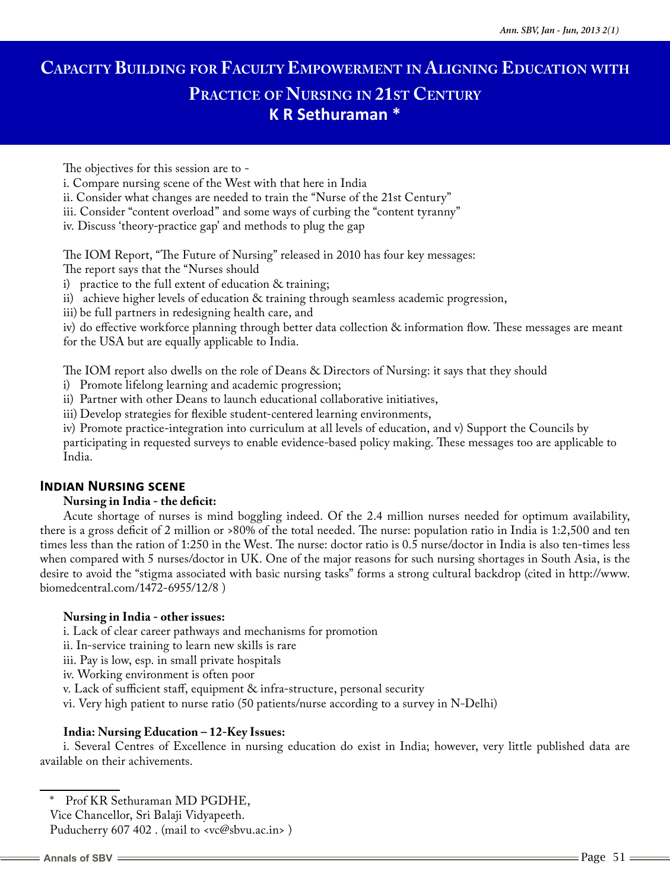# **Capacity Building for Faculty Empowerment in Aligning Education with Practice of Nursing in 21st Century K R Sethuraman \***

The objectives for this session are to -

i. Compare nursing scene of the West with that here in India

ii. Consider what changes are needed to train the "Nurse of the 21st Century"

iii. Consider "content overload" and some ways of curbing the "content tyranny"

iv. Discuss 'theory-practice gap' and methods to plug the gap

The IOM Report, "The Future of Nursing" released in 2010 has four key messages:

The report says that the "Nurses should

i) practice to the full extent of education & training;

ii) achieve higher levels of education & training through seamless academic progression,

iii) be full partners in redesigning health care, and

iv) do effective workforce planning through better data collection & information flow. These messages are meant for the USA but are equally applicable to India.

The IOM report also dwells on the role of Deans & Directors of Nursing: it says that they should

i) Promote lifelong learning and academic progression;

ii) Partner with other Deans to launch educational collaborative initiatives,

iii) Develop strategies for flexible student-centered learning environments,

iv) Promote practice-integration into curriculum at all levels of education, and v) Support the Councils by participating in requested surveys to enable evidence-based policy making. These messages too are applicable to India.

# **Indian Nursing scene**

#### **Nursing in India - the deficit:**

Acute shortage of nurses is mind boggling indeed. Of the 2.4 million nurses needed for optimum availability, there is a gross deficit of 2 million or >80% of the total needed. The nurse: population ratio in India is 1:2,500 and ten times less than the ration of 1:250 in the West. The nurse: doctor ratio is 0.5 nurse/doctor in India is also ten-times less when compared with 5 nurses/doctor in UK. One of the major reasons for such nursing shortages in South Asia, is the desire to avoid the "stigma associated with basic nursing tasks" forms a strong cultural backdrop (cited in http://www. biomedcentral.com/1472-6955/12/8 )

#### **Nursing in India - other issues:**

i. Lack of clear career pathways and mechanisms for promotion

ii. In-service training to learn new skills is rare

iii. Pay is low, esp. in small private hospitals

iv. Working environment is often poor

v. Lack of sufficient staff, equipment & infra-structure, personal security

vi. Very high patient to nurse ratio (50 patients/nurse according to a survey in N-Delhi)

#### **India: Nursing Education – 12-Key Issues:**

i. Several Centres of Excellence in nursing education do exist in India; however, very little published data are available on their achivements.

Prof KR Sethuraman MD PGDHE,

Vice Chancellor, Sri Balaji Vidyapeeth.

Puducherry 607 402. (mail to <vc@sbvu.ac.in>)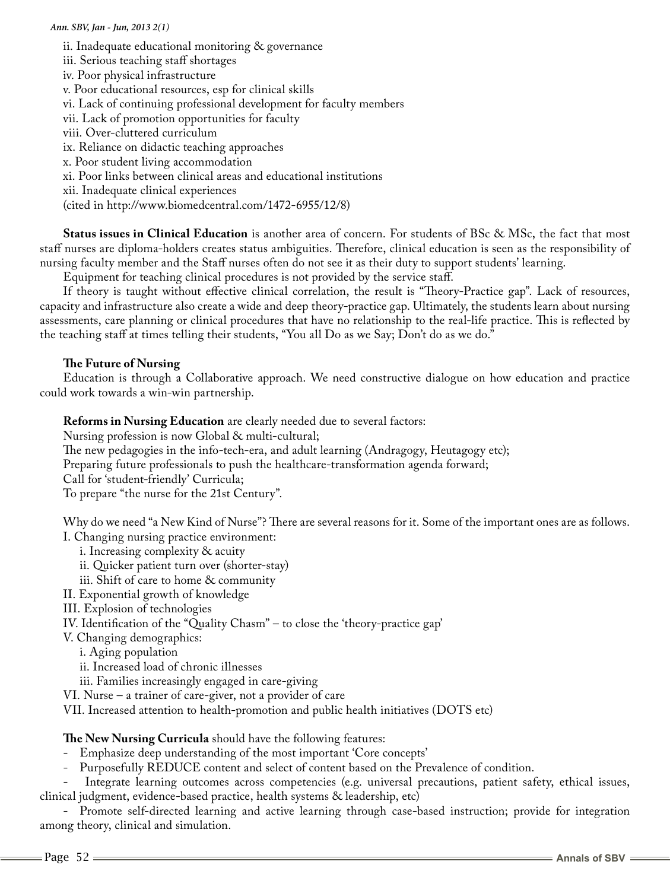ii. Inadequate educational monitoring & governance iii. Serious teaching staff shortages iv. Poor physical infrastructure v. Poor educational resources, esp for clinical skills vi. Lack of continuing professional development for faculty members vii. Lack of promotion opportunities for faculty viii. Over-cluttered curriculum ix. Reliance on didactic teaching approaches x. Poor student living accommodation xi. Poor links between clinical areas and educational institutions xii. Inadequate clinical experiences (cited in http://www.biomedcentral.com/1472-6955/12/8)

**Status issues in Clinical Education** is another area of concern. For students of BSc & MSc, the fact that most staff nurses are diploma-holders creates status ambiguities. Therefore, clinical education is seen as the responsibility of nursing faculty member and the Staff nurses often do not see it as their duty to support students' learning.

Equipment for teaching clinical procedures is not provided by the service staff.

If theory is taught without effective clinical correlation, the result is "Theory-Practice gap". Lack of resources, capacity and infrastructure also create a wide and deep theory-practice gap. Ultimately, the students learn about nursing assessments, care planning or clinical procedures that have no relationship to the real-life practice. This is reflected by the teaching staff at times telling their students, "You all Do as we Say; Don't do as we do."

## **The Future of Nursing**

Education is through a Collaborative approach. We need constructive dialogue on how education and practice could work towards a win-win partnership.

**Reforms in Nursing Education** are clearly needed due to several factors:

Nursing profession is now Global & multi-cultural;

The new pedagogies in the info-tech-era, and adult learning (Andragogy, Heutagogy etc);

Preparing future professionals to push the healthcare-transformation agenda forward;

Call for 'student-friendly' Curricula;

To prepare "the nurse for the 21st Century".

Why do we need "a New Kind of Nurse"? There are several reasons for it. Some of the important ones are as follows. I. Changing nursing practice environment:

i. Increasing complexity & acuity

- ii. Quicker patient turn over (shorter-stay)
- iii. Shift of care to home & community
- II. Exponential growth of knowledge

III. Explosion of technologies

IV. Identification of the "Quality Chasm" – to close the 'theory-practice gap'

V. Changing demographics:

- i. Aging population
- ii. Increased load of chronic illnesses

iii. Families increasingly engaged in care-giving

VI. Nurse – a trainer of care-giver, not a provider of care

VII. Increased attention to health-promotion and public health initiatives (DOTS etc)

#### **The New Nursing Curricula** should have the following features:

- Emphasize deep understanding of the most important 'Core concepts'
- Purposefully REDUCE content and select of content based on the Prevalence of condition.

Integrate learning outcomes across competencies (e.g. universal precautions, patient safety, ethical issues, clinical judgment, evidence-based practice, health systems & leadership, etc)

- Promote self-directed learning and active learning through case-based instruction; provide for integration among theory, clinical and simulation.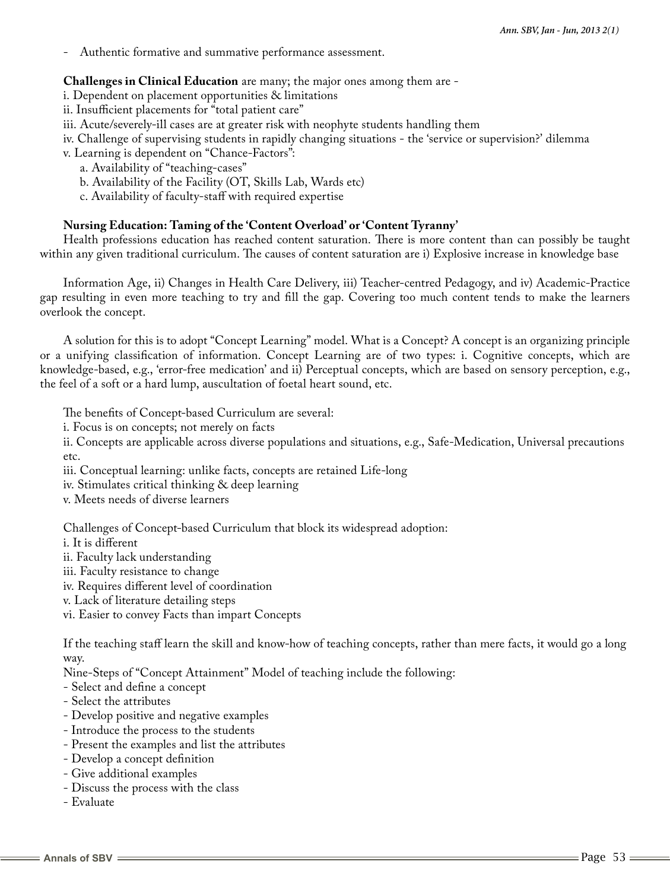Authentic formative and summative performance assessment.

#### **Challenges in Clinical Education** are many; the major ones among them are -

- i. Dependent on placement opportunities & limitations
- ii. Insufficient placements for "total patient care"
- iii. Acute/severely-ill cases are at greater risk with neophyte students handling them
- iv. Challenge of supervising students in rapidly changing situations the 'service or supervision?' dilemma
- v. Learning is dependent on "Chance-Factors":
	- a. Availability of "teaching-cases"
	- b. Availability of the Facility (OT, Skills Lab, Wards etc)
	- c. Availability of faculty-staff with required expertise

## **Nursing Education: Taming of the 'Content Overload' or 'Content Tyranny'**

Health professions education has reached content saturation. There is more content than can possibly be taught within any given traditional curriculum. The causes of content saturation are i) Explosive increase in knowledge base

Information Age, ii) Changes in Health Care Delivery, iii) Teacher-centred Pedagogy, and iv) Academic-Practice gap resulting in even more teaching to try and fill the gap. Covering too much content tends to make the learners overlook the concept.

A solution for this is to adopt "Concept Learning" model. What is a Concept? A concept is an organizing principle or a unifying classification of information. Concept Learning are of two types: i. Cognitive concepts, which are knowledge-based, e.g., 'error-free medication' and ii) Perceptual concepts, which are based on sensory perception, e.g., the feel of a soft or a hard lump, auscultation of foetal heart sound, etc.

The benefits of Concept-based Curriculum are several:

- i. Focus is on concepts; not merely on facts
- ii. Concepts are applicable across diverse populations and situations, e.g., Safe-Medication, Universal precautions etc.
- iii. Conceptual learning: unlike facts, concepts are retained Life-long
- iv. Stimulates critical thinking & deep learning
- v. Meets needs of diverse learners

Challenges of Concept-based Curriculum that block its widespread adoption:

- i. It is different
- ii. Faculty lack understanding
- iii. Faculty resistance to change
- iv. Requires different level of coordination
- v. Lack of literature detailing steps
- vi. Easier to convey Facts than impart Concepts

If the teaching staff learn the skill and know-how of teaching concepts, rather than mere facts, it would go a long way.

Nine-Steps of "Concept Attainment" Model of teaching include the following:

- Select and define a concept
- Select the attributes
- Develop positive and negative examples
- Introduce the process to the students
- Present the examples and list the attributes
- Develop a concept definition
- Give additional examples
- Discuss the process with the class
- Evaluate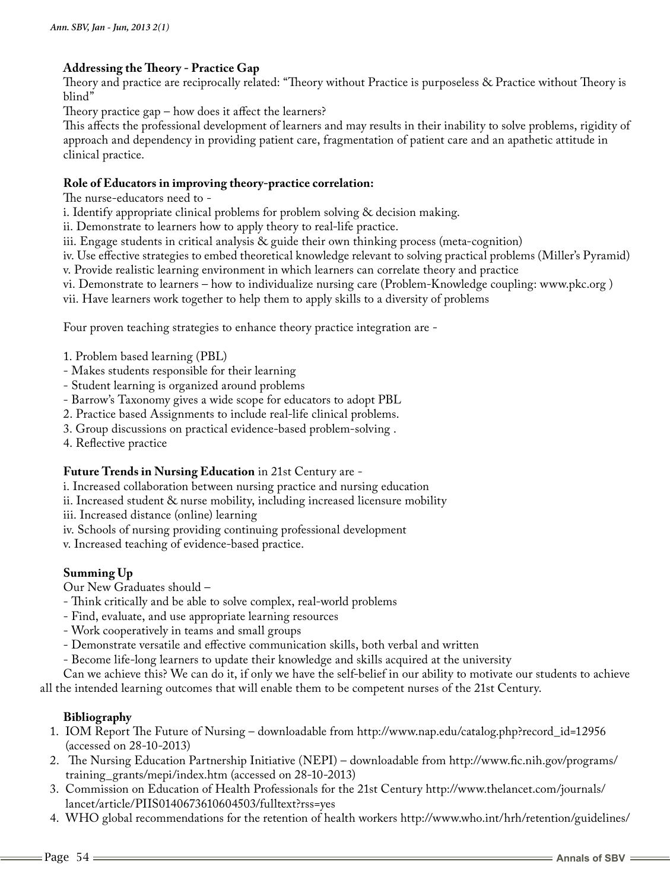# **Addressing the Theory - Practice Gap**

Theory and practice are reciprocally related: "Theory without Practice is purposeless & Practice without Theory is blind"

Theory practice gap – how does it affect the learners?

This affects the professional development of learners and may results in their inability to solve problems, rigidity of approach and dependency in providing patient care, fragmentation of patient care and an apathetic attitude in clinical practice.

#### **Role of Educators in improving theory-practice correlation:**

The nurse-educators need to -

i. Identify appropriate clinical problems for problem solving & decision making.

ii. Demonstrate to learners how to apply theory to real-life practice.

iii. Engage students in critical analysis & guide their own thinking process (meta-cognition)

iv. Use effective strategies to embed theoretical knowledge relevant to solving practical problems (Miller's Pyramid)

v. Provide realistic learning environment in which learners can correlate theory and practice

vi. Demonstrate to learners – how to individualize nursing care (Problem-Knowledge coupling: www.pkc.org )

vii. Have learners work together to help them to apply skills to a diversity of problems

Four proven teaching strategies to enhance theory practice integration are -

- 1. Problem based learning (PBL)
- Makes students responsible for their learning
- Student learning is organized around problems
- Barrow's Taxonomy gives a wide scope for educators to adopt PBL
- 2. Practice based Assignments to include real-life clinical problems.
- 3. Group discussions on practical evidence-based problem-solving .
- 4. Reflective practice

#### **Future Trends in Nursing Education** in 21st Century are -

i. Increased collaboration between nursing practice and nursing education

ii. Increased student & nurse mobility, including increased licensure mobility

iii. Increased distance (online) learning

iv. Schools of nursing providing continuing professional development

v. Increased teaching of evidence-based practice.

# **Summing Up**

Our New Graduates should –

- Think critically and be able to solve complex, real-world problems
- Find, evaluate, and use appropriate learning resources
- Work cooperatively in teams and small groups
- Demonstrate versatile and effective communication skills, both verbal and written
- Become life-long learners to update their knowledge and skills acquired at the university

Can we achieve this? We can do it, if only we have the self-belief in our ability to motivate our students to achieve all the intended learning outcomes that will enable them to be competent nurses of the 21st Century.

# **Bibliography**

- 1. IOM Report The Future of Nursing downloadable from http://www.nap.edu/catalog.php?record\_id=12956 (accessed on 28-10-2013)
- 2. The Nursing Education Partnership Initiative (NEPI) downloadable from http://www.fic.nih.gov/programs/ training\_grants/mepi/index.htm (accessed on 28-10-2013)
- 3. Commission on Education of Health Professionals for the 21st Century http://www.thelancet.com/journals/ lancet/article/PIIS0140673610604503/fulltext?rss=yes
- 4. WHO global recommendations for the retention of health workers http://www.who.int/hrh/retention/guidelines/